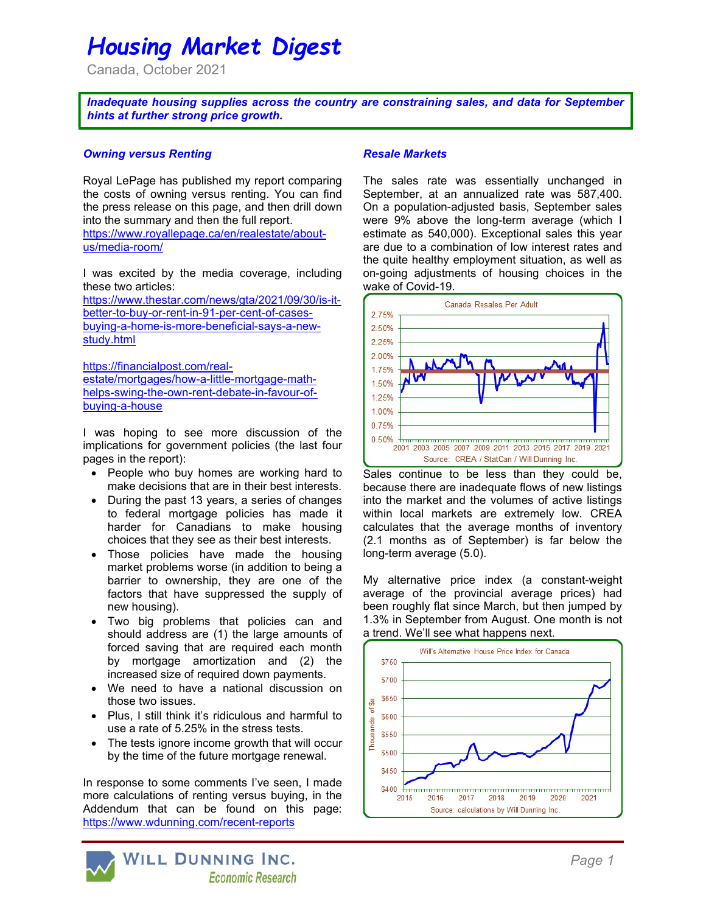# Housing Market Digest

Canada, October 2021

Inadequate housing supplies across the country are constraining sales, and data for September hints at further strong price growth.

#### Owning versus Renting

Royal LePage has published my report comparing the costs of owning versus renting. You can find the press release on this page, and then drill down into the summary and then the full report.

https://www.royallepage.ca/en/realestate/aboutus/media-room/

I was excited by the media coverage, including these two articles:

https://www.thestar.com/news/gta/2021/09/30/is-itbetter-to-buy-or-rent-in-91-per-cent-of-casesbuying-a-home-is-more-beneficial-says-a-newstudy.html

https://financialpost.com/realestate/mortgages/how-a-little-mortgage-mathhelps-swing-the-own-rent-debate-in-favour-ofbuying-a-house

I was hoping to see more discussion of the implications for government policies (the last four pages in the report):

- People who buy homes are working hard to make decisions that are in their best interests.
- During the past 13 years, a series of changes to federal mortgage policies has made it harder for Canadians to make housing choices that they see as their best interests.
- Those policies have made the housing market problems worse (in addition to being a barrier to ownership, they are one of the factors that have suppressed the supply of new housing).
- Two big problems that policies can and should address are (1) the large amounts of forced saving that are required each month by mortgage amortization and (2) the increased size of required down payments.
- We need to have a national discussion on those two issues.
- Plus, I still think it's ridiculous and harmful to use a rate of 5.25% in the stress tests.
- The tests ignore income growth that will occur by the time of the future mortgage renewal.

In response to some comments I've seen, I made more calculations of renting versus buying, in the Addendum that can be found on this page: https://www.wdunning.com/recent-reports

#### Resale Markets

The sales rate was essentially unchanged in September, at an annualized rate was 587,400. On a population-adjusted basis, September sales were 9% above the long-term average (which I estimate as 540,000). Exceptional sales this year are due to a combination of low interest rates and the quite healthy employment situation, as well as on-going adjustments of housing choices in the wake of Covid-19.



Sales continue to be less than they could be, because there are inadequate flows of new listings into the market and the volumes of active listings within local markets are extremely low. CREA calculates that the average months of inventory (2.1 months as of September) is far below the long-term average (5.0).

My alternative price index (a constant-weight average of the provincial average prices) had been roughly flat since March, but then jumped by 1.3% in September from August. One month is not a trend. We'll see what happens next.